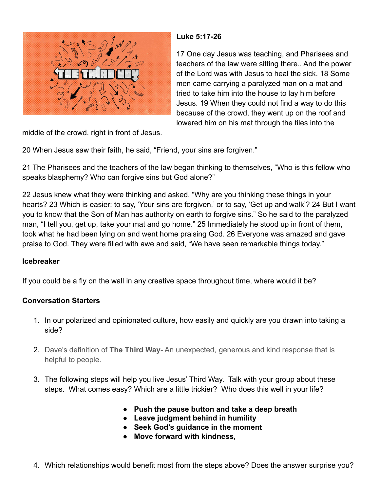

## **Luke 5:17-26**

17 One day Jesus was teaching, and Pharisees and teachers of the law were sitting there.. And the power of the Lord was with Jesus to heal the sick. 18 Some men came carrying a paralyzed man on a mat and tried to take him into the house to lay him before Jesus. 19 When they could not find a way to do this because of the crowd, they went up on the roof and lowered him on his mat through the tiles into the

middle of the crowd, right in front of Jesus.

20 When Jesus saw their faith, he said, "Friend, your sins are forgiven."

21 The Pharisees and the teachers of the law began thinking to themselves, "Who is this fellow who speaks blasphemy? Who can forgive sins but God alone?"

22 Jesus knew what they were thinking and asked, "Why are you thinking these things in your hearts? 23 Which is easier: to say, 'Your sins are forgiven,' or to say, 'Get up and walk'? 24 But I want you to know that the Son of Man has authority on earth to forgive sins." So he said to the paralyzed man, "I tell you, get up, take your mat and go home." 25 Immediately he stood up in front of them, took what he had been lying on and went home praising God. 26 Everyone was amazed and gave praise to God. They were filled with awe and said, "We have seen remarkable things today."

## **Icebreaker**

If you could be a fly on the wall in any creative space throughout time, where would it be?

## **Conversation Starters**

- 1. In our polarized and opinionated culture, how easily and quickly are you drawn into taking a side?
- 2. Dave's definition of **The Third Way** An unexpected, generous and kind response that is helpful to people.
- 3. The following steps will help you live Jesus' Third Way. Talk with your group about these steps. What comes easy? Which are a little trickier? Who does this well in your life?
	- **● Push the pause button and take a deep breath**
	- **● Leave judgment behind in humility**
	- **● Seek God's guidance in the moment**
	- **● Move forward with kindness,**
- 4. Which relationships would benefit most from the steps above? Does the answer surprise you?